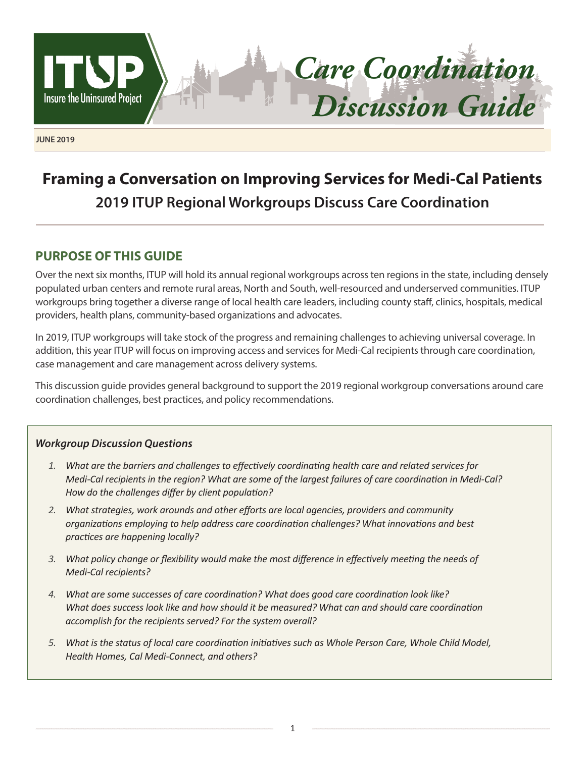

*Care Coordination Discussion Guide*

**JUNE 2019**

# **Framing a Conversation on Improving Services for Medi-Cal Patients 2019 ITUP Regional Workgroups Discuss Care Coordination**

# **PURPOSE OF THIS GUIDE**

Over the next six months, ITUP will hold its annual regional workgroups across ten regions in the state, including densely populated urban centers and remote rural areas, North and South, well-resourced and underserved communities. ITUP workgroups bring together a diverse range of local health care leaders, including county staff, clinics, hospitals, medical providers, health plans, community-based organizations and advocates.

In 2019, ITUP workgroups will take stock of the progress and remaining challenges to achieving universal coverage. In addition, this year ITUP will focus on improving access and services for Medi-Cal recipients through care coordination, case management and care management across delivery systems.

This discussion guide provides general background to support the 2019 regional workgroup conversations around care coordination challenges, best practices, and policy recommendations.

### *Workgroup Discussion Questions*

- *1. What are the barriers and challenges to effectively coordinating health care and related services for Medi-Cal recipients in the region? What are some of the largest failures of care coordination in Medi-Cal? How do the challenges differ by client population?*
- *2. What strategies, work arounds and other efforts are local agencies, providers and community organizations employing to help address care coordination challenges? What innovations and best practices are happening locally?*
- *3. What policy change or flexibility would make the most difference in effectively meeting the needs of Medi-Cal recipients?*
- *4. What are some successes of care coordination? What does good care coordination look like? What does success look like and how should it be measured? What can and should care coordination accomplish for the recipients served? For the system overall?*
- *5. What is the status of local care coordination initiatives such as Whole Person Care, Whole Child Model, Health Homes, Cal Medi-Connect, and others?*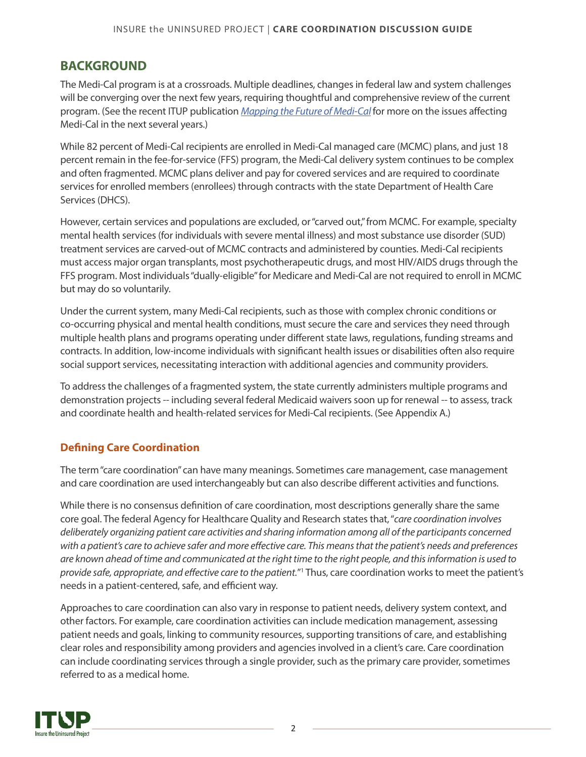# <span id="page-1-0"></span>**BACKGROUND**

The Medi-Cal program is at a crossroads. Multiple deadlines, changes in federal law and system challenges will be converging over the next few years, requiring thoughtful and comprehensive review of the current program. (See the recent ITUP publication *[Mapping the Future of Medi-Cal](http://www.itup.org/mapping-the-future-of-medi-cal/)* for more on the issues affecting Medi-Cal in the next several years.)

While 82 percent of Medi-Cal recipients are enrolled in Medi-Cal managed care (MCMC) plans, and just 18 percent remain in the fee-for-service (FFS) program, the Medi-Cal delivery system continues to be complex and often fragmented. MCMC plans deliver and pay for covered services and are required to coordinate services for enrolled members (enrollees) through contracts with the state Department of Health Care Services (DHCS).

However, certain services and populations are excluded, or "carved out," from MCMC. For example, specialty mental health services (for individuals with severe mental illness) and most substance use disorder (SUD) treatment services are carved-out of MCMC contracts and administered by counties. Medi-Cal recipients must access major organ transplants, most psychotherapeutic drugs, and most HIV/AIDS drugs through the FFS program. Most individuals "dually-eligible" for Medicare and Medi-Cal are not required to enroll in MCMC but may do so voluntarily.

Under the current system, many Medi-Cal recipients, such as those with complex chronic conditions or co-occurring physical and mental health conditions, must secure the care and services they need through multiple health plans and programs operating under different state laws, regulations, funding streams and contracts. In addition, low-income individuals with significant health issues or disabilities often also require social support services, necessitating interaction with additional agencies and community providers.

To address the challenges of a fragmented system, the state currently administers multiple programs and demonstration projects -- including several federal Medicaid waivers soon up for renewal -- to assess, track and coordinate health and health-related services for Medi-Cal recipients. (See Appendix A.)

## **Defining Care Coordination**

The term "care coordination" can have many meanings. Sometimes care management, case management and care coordination are used interchangeably but can also describe different activities and functions.

While there is no consensus definition of care coordination, most descriptions generally share the same core goal. The federal Agency for Healthcare Quality and Research states that, "*care coordination involves deliberately organizing patient care activities and sharing information among all of the participants concerned with a patient's care to achieve safer and more effective care. This means that the patient's needs and preferences are known ahead of time and communicated at the right time to the right people, and this information is used to*  provide safe, appropriate, and effective care to the patient."<sup>1</sup> Thus, care coordination works to meet the patient's needs in a patient-centered, safe, and efficient way.

Approaches to care coordination can also vary in response to patient needs, delivery system context, and other factors. For example, care coordination activities can include medication management, assessing patient needs and goals, linking to community resources, supporting transitions of care, and establishing clear roles and responsibility among providers and agencies involved in a client's care. Care coordination can include coordinating services through a single provider, such as the primary care provider, sometimes referred to as a medical home.

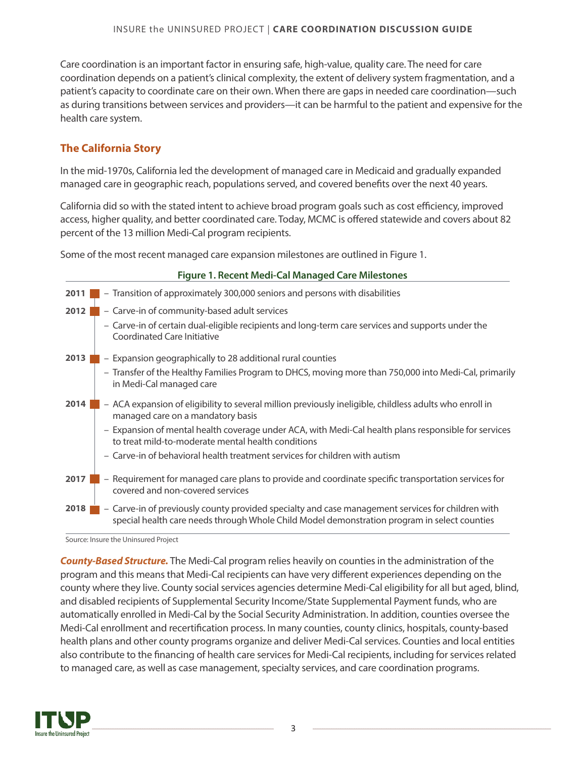Care coordination is an important factor in ensuring safe, high-value, quality care. The need for care coordination depends on a patient's clinical complexity, the extent of delivery system fragmentation, and a patient's capacity to coordinate care on their own. When there are gaps in needed care coordination—such as during transitions between services and providers—it can be harmful to the patient and expensive for the health care system.

## **The California Story**

In the mid-1970s, California led the development of managed care in Medicaid and gradually expanded managed care in geographic reach, populations served, and covered benefits over the next 40 years.

California did so with the stated intent to achieve broad program goals such as cost efficiency, improved access, higher quality, and better coordinated care. Today, MCMC is offered statewide and covers about 82 percent of the 13 million Medi-Cal program recipients.

Some of the most recent managed care expansion milestones are outlined in Figure 1.

| <b>Figure 1. Recent Medi-Cal Managed Care Milestones</b> |                                                                                                                                                                                                   |  |  |  |
|----------------------------------------------------------|---------------------------------------------------------------------------------------------------------------------------------------------------------------------------------------------------|--|--|--|
| 2011                                                     | - Transition of approximately 300,000 seniors and persons with disabilities                                                                                                                       |  |  |  |
| 2012                                                     | - Carve-in of community-based adult services                                                                                                                                                      |  |  |  |
|                                                          | - Carve-in of certain dual-eligible recipients and long-term care services and supports under the<br>Coordinated Care Initiative                                                                  |  |  |  |
| 2013                                                     | - Expansion geographically to 28 additional rural counties                                                                                                                                        |  |  |  |
|                                                          | - Transfer of the Healthy Families Program to DHCS, moving more than 750,000 into Medi-Cal, primarily<br>in Medi-Cal managed care                                                                 |  |  |  |
| 2014                                                     | - ACA expansion of eligibility to several million previously ineligible, childless adults who enroll in<br>managed care on a mandatory basis                                                      |  |  |  |
|                                                          | - Expansion of mental health coverage under ACA, with Medi-Cal health plans responsible for services<br>to treat mild-to-moderate mental health conditions                                        |  |  |  |
|                                                          | - Carve-in of behavioral health treatment services for children with autism                                                                                                                       |  |  |  |
| 2017                                                     | - Requirement for managed care plans to provide and coordinate specific transportation services for<br>covered and non-covered services                                                           |  |  |  |
| 2018                                                     | - Carve-in of previously county provided specialty and case management services for children with<br>special health care needs through Whole Child Model demonstration program in select counties |  |  |  |

Source: Insure the Uninsured Project

*County-Based Structure.* The Medi-Cal program relies heavily on counties in the administration of the program and this means that Medi-Cal recipients can have very different experiences depending on the county where they live. County social services agencies determine Medi-Cal eligibility for all but aged, blind, and disabled recipients of Supplemental Security Income/State Supplemental Payment funds, who are automatically enrolled in Medi-Cal by the Social Security Administration. In addition, counties oversee the Medi-Cal enrollment and recertification process. In many counties, county clinics, hospitals, county-based health plans and other county programs organize and deliver Medi-Cal services. Counties and local entities also contribute to the financing of health care services for Medi-Cal recipients, including for services related to managed care, as well as case management, specialty services, and care coordination programs.

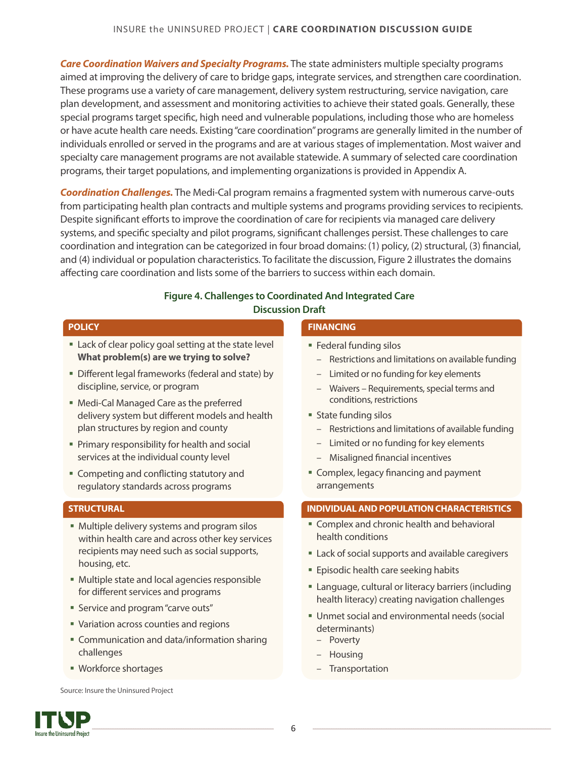*Care Coordination Waivers and Specialty Programs.* The state administers multiple specialty programs aimed at improving the delivery of care to bridge gaps, integrate services, and strengthen care coordination. These programs use a variety of care management, delivery system restructuring, service navigation, care plan development, and assessment and monitoring activities to achieve their stated goals. Generally, these special programs target specific, high need and vulnerable populations, including those who are homeless or have acute health care needs. Existing "care coordination" programs are generally limited in the number of individuals enrolled or served in the programs and are at various stages of implementation. Most waiver and specialty care management programs are not available statewide. A summary of selected care coordination programs, their target populations, and implementing organizations is provided in Appendix A.

*Coordination Challenges.* The Medi-Cal program remains a fragmented system with numerous carve-outs from participating health plan contracts and multiple systems and programs providing services to recipients. Despite significant efforts to improve the coordination of care for recipients via managed care delivery systems, and specific specialty and pilot programs, significant challenges persist. These challenges to care coordination and integration can be categorized in four broad domains: (1) policy, (2) structural, (3) financial, and (4) individual or population characteristics. To facilitate the discussion, Figure 2 illustrates the domains affecting care coordination and lists some of the barriers to success within each domain.

#### **Figure 4. Challenges to Coordinated And Integrated Care Discussion Draft**

#### **POLICY**

- Lack of clear policy goal setting at the state level **What problem(s) are we trying to solve?**
- **Different legal frameworks (federal and state) by** discipline, service, or program
- Medi-Cal Managed Care as the preferred delivery system but different models and health plan structures by region and county
- § Primary responsibility for health and social services at the individual county level
- Competing and conflicting statutory and regulatory standards across programs

#### **STRUCTURAL**

- Multiple delivery systems and program silos within health care and across other key services recipients may need such as social supports, housing, etc.
- Multiple state and local agencies responsible for different services and programs
- Service and program "carve outs"
- Variation across counties and regions
- Communication and data/information sharing challenges
- § Workforce shortages

Source: Insure the Uninsured Project



#### **FINANCING**

- § Federal funding silos
	- Restrictions and limitations on available funding
	- Limited or no funding for key elements
	- Waivers Requirements, special terms and conditions, restrictions
- § State funding silos
	- Restrictions and limitations of available funding
	- Limited or no funding for key elements
	- Misaligned financial incentives
- Complex, legacy financing and payment arrangements

#### **INDIVIDUAL AND POPULATION CHARACTERISTICS**

- **Complex and chronic health and behavioral** health conditions
- Lack of social supports and available caregivers
- Episodic health care seeking habits
- **Language, cultural or literacy barriers (including** health literacy) creating navigation challenges
- Unmet social and environmental needs (social determinants)
	- Poverty
	- Housing
	- **Transportation**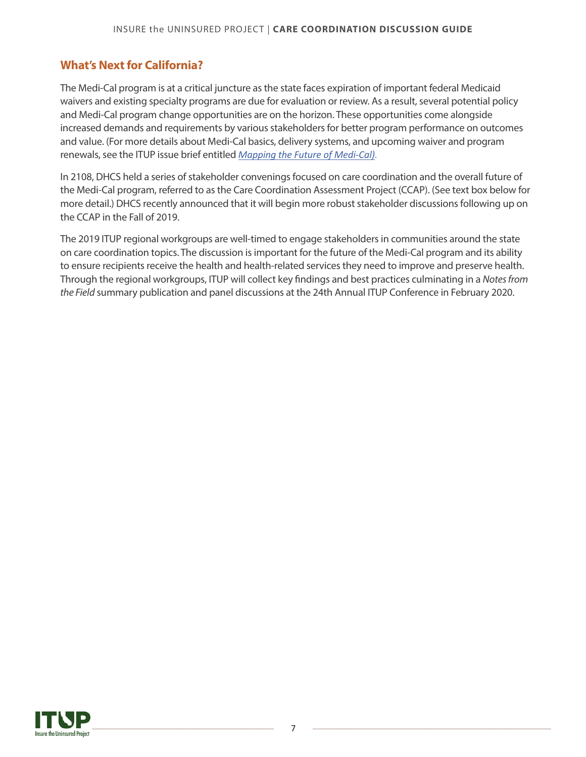# **What's Next for California?**

The Medi-Cal program is at a critical juncture as the state faces expiration of important federal Medicaid waivers and existing specialty programs are due for evaluation or review. As a result, several potential policy and Medi-Cal program change opportunities are on the horizon. These opportunities come alongside increased demands and requirements by various stakeholders for better program performance on outcomes and value. (For more details about Medi-Cal basics, delivery systems, and upcoming waiver and program renewals, see the ITUP issue brief entitled *[Mapping the Future of Medi-Cal](http://www.itup.org/wp-content/uploads/2019/03/Mapping-the-Future-of-Medi-Cal-FINAL.pdf)).*

In 2108, DHCS held a series of stakeholder convenings focused on care coordination and the overall future of the Medi-Cal program, referred to as the Care Coordination Assessment Project (CCAP). (See text box below for more detail.) DHCS recently announced that it will begin more robust stakeholder discussions following up on the CCAP in the Fall of 2019.

The 2019 ITUP regional workgroups are well-timed to engage stakeholders in communities around the state on care coordination topics. The discussion is important for the future of the Medi-Cal program and its ability to ensure recipients receive the health and health-related services they need to improve and preserve health. Through the regional workgroups, ITUP will collect key findings and best practices culminating in a *Notes from the Field* summary publication and panel discussions at the 24th Annual ITUP Conference in February 2020.

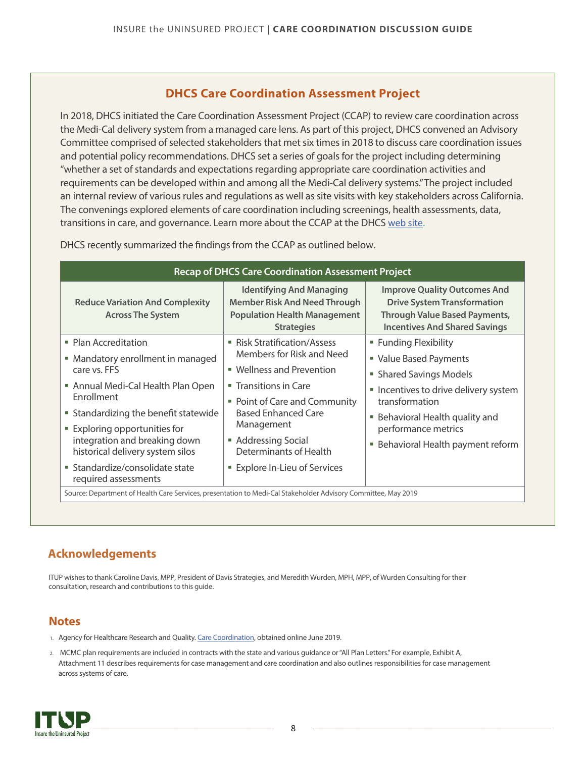# **BACKGROUND**

The Medi-Cal program is at a crossroads. Multiple deadlines, changes in federal law and system challenges will be converging over the next few years, requiring thoughtful and comprehensive review of the current program. (See the recent ITUP publication Mapping the Future of Medi-Gar more on the issues affecting Medi-Cal in the next several years.)

While 82 percent of Medi-Cal recipients are enrolled in Medi-Cal managed care (MCMC) plans, and just 18 percent remain in the fee-for-service (FFS) program, the Medi-Cal delivery system continues to be complex and often fragmented. MCMC plans deliver and pay for covered services and are required to coordinate services for enrolled members (enrollees) through contracts with the state Department of Health Care Services (DHCS).

However, certain services and populations are excluded, or "carved out," from MCMC. For example, specialty mental health services (for individuals with severe mental illness) and most substance use disorder (SUD) treatment services are carved-out of MCMC contracts and administered by counties. Medi-Cal recipients must access major organ transplants, most psychotherapeutic drugs, and most HIV/AIDS drugs through the FFS program. Most individuals "dually-eligible" for Medicare and Medi-Cal are not required to enroll in MCMC but may do so voluntarily.

Under the current system, many Medi-Cal recipients, such as those with complex chronic conditions or co-occurring physical and mental health conditions, must secure the care and services they need through multiple health plans and programs operating under different state laws, regulations, funding streams and contracts. In addition, low-income individuals with significant health issues or disabilities often also require social support services, necessitating interaction with additional agencies and community providers.

To address the challenges of a fragmented system, the state currently administers multiple programs and demonstration projects -- including several federal Medicaid waivers soon up for renewal -- to assess, track and coordinate health and health-related services for Medi-Cal recipients. (See Appendix A.)

## **Defining Care Coordination**

The term "care coordination" can have many meanings. Sometimes care management, case management and care coordination are used interchangeably but can also describe different activities and functions.

While there is no consensus definition of care coordination, most descriptions generally share the same core goal. The federal Agency for Healthcare Quality and Research states that, "care coordination involves deliberately organiling patient care activities and sharing information among all of the participants concerned Eth a patient⊠care to achieve safer and more eective care. This means that the patient⊠needs and preferences are knold ahead of time and communicated at the right time to the right people, and this information is used to provide safe, appropriate, and eective care to the patienthus, care coordination works to meet the patient's needs in a patient-centered, safe, and efficient way.

Approaches to care coordination can also vary in response to patient needs, delivery system context, and other factors. For example, care coordination activities can include medication management, assessing patient needs and goals, linking to community resources, supporting transitions of care, and establishing clear roles and responsibility among providers and agencies involved in a client's care. Care coordination can include coordinating services through a single provider, such as the primary care provider, sometimes referred to as a medical home.

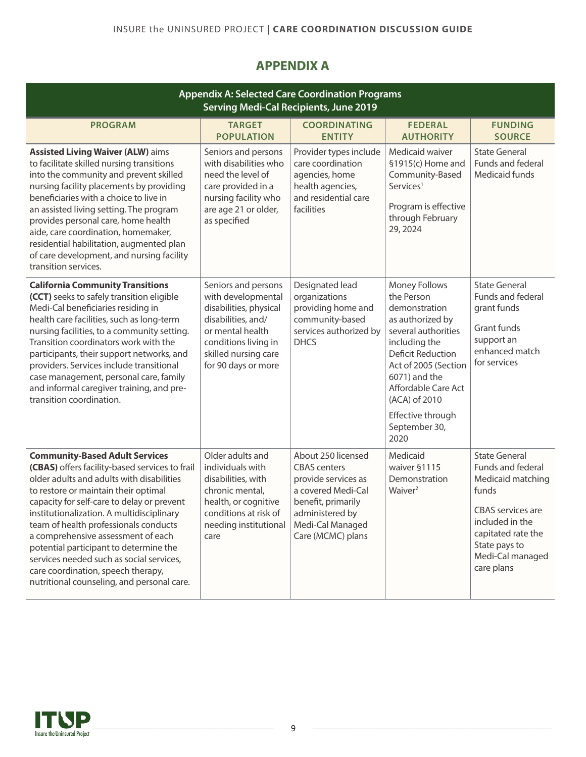# **APPENDIX A**

| <b>Appendix A: Selected Care Coordination Programs</b><br><b>Serving Medi-Cal Recipients, June 2019</b>                                                                                                                                                                                                                                                                                                                                                                                                                          |                                                                                                                                                                                      |                                                                                                                                                                          |                                                                                                                                                                                                                                                                     |                                                                                                                                                                                                 |  |
|----------------------------------------------------------------------------------------------------------------------------------------------------------------------------------------------------------------------------------------------------------------------------------------------------------------------------------------------------------------------------------------------------------------------------------------------------------------------------------------------------------------------------------|--------------------------------------------------------------------------------------------------------------------------------------------------------------------------------------|--------------------------------------------------------------------------------------------------------------------------------------------------------------------------|---------------------------------------------------------------------------------------------------------------------------------------------------------------------------------------------------------------------------------------------------------------------|-------------------------------------------------------------------------------------------------------------------------------------------------------------------------------------------------|--|
| <b>PROGRAM</b>                                                                                                                                                                                                                                                                                                                                                                                                                                                                                                                   | <b>TARGET</b><br><b>POPULATION</b>                                                                                                                                                   | <b>COORDINATING</b><br><b>ENTITY</b>                                                                                                                                     | <b>FEDERAL</b><br><b>AUTHORITY</b>                                                                                                                                                                                                                                  | <b>FUNDING</b><br><b>SOURCE</b>                                                                                                                                                                 |  |
| <b>Assisted Living Waiver (ALW) aims</b><br>to facilitate skilled nursing transitions<br>into the community and prevent skilled<br>nursing facility placements by providing<br>beneficiaries with a choice to live in<br>an assisted living setting. The program<br>provides personal care, home health<br>aide, care coordination, homemaker,<br>residential habilitation, augmented plan<br>of care development, and nursing facility<br>transition services.                                                                  | Seniors and persons<br>with disabilities who<br>need the level of<br>care provided in a<br>nursing facility who<br>are age 21 or older,<br>as specified                              | Provider types include<br>care coordination<br>agencies, home<br>health agencies,<br>and residential care<br>facilities                                                  | Medicaid waiver<br>§1915(c) Home and<br>Community-Based<br>Services <sup>1</sup><br>Program is effective<br>through February<br>29, 2024                                                                                                                            | <b>State General</b><br>Funds and federal<br>Medicaid funds                                                                                                                                     |  |
| <b>California Community Transitions</b><br>(CCT) seeks to safely transition eligible<br>Medi-Cal beneficiaries residing in<br>health care facilities, such as long-term<br>nursing facilities, to a community setting.<br>Transition coordinators work with the<br>participants, their support networks, and<br>providers. Services include transitional<br>case management, personal care, family<br>and informal caregiver training, and pre-<br>transition coordination.                                                      | Seniors and persons<br>with developmental<br>disabilities, physical<br>disabilities, and/<br>or mental health<br>conditions living in<br>skilled nursing care<br>for 90 days or more | Designated lead<br>organizations<br>providing home and<br>community-based<br>services authorized by<br><b>DHCS</b>                                                       | Money Follows<br>the Person<br>demonstration<br>as authorized by<br>several authorities<br>including the<br><b>Deficit Reduction</b><br>Act of 2005 (Section<br>6071) and the<br>Affordable Care Act<br>(ACA) of 2010<br>Effective through<br>September 30,<br>2020 | <b>State General</b><br>Funds and federal<br>grant funds<br>Grant funds<br>support an<br>enhanced match<br>for services                                                                         |  |
| <b>Community-Based Adult Services</b><br>(CBAS) offers facility-based services to frail<br>older adults and adults with disabilities<br>to restore or maintain their optimal<br>capacity for self-care to delay or prevent<br>institutionalization. A multidisciplinary<br>team of health professionals conducts<br>a comprehensive assessment of each<br>potential participant to determine the<br>services needed such as social services,<br>care coordination, speech therapy,<br>nutritional counseling, and personal care. | Older adults and<br>individuals with<br>disabilities, with<br>chronic mental,<br>health, or cognitive<br>conditions at risk of<br>needing institutional<br>care                      | About 250 licensed<br><b>CBAS</b> centers<br>provide services as<br>a covered Medi-Cal<br>benefit, primarily<br>administered by<br>Medi-Cal Managed<br>Care (MCMC) plans | Medicaid<br>waiver §1115<br>Demonstration<br>Waiver <sup>2</sup>                                                                                                                                                                                                    | <b>State General</b><br>Funds and federal<br>Medicaid matching<br>funds<br><b>CBAS</b> services are<br>included in the<br>capitated rate the<br>State pays to<br>Medi-Cal managed<br>care plans |  |

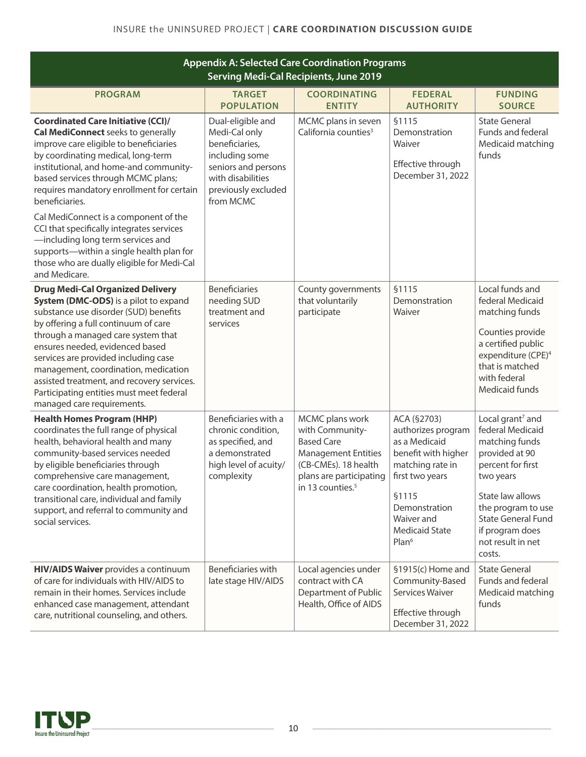| <b>Appendix A: Selected Care Coordination Programs</b><br><b>Serving Medi-Cal Recipients, June 2019</b>                                                                                                                                                                                                                                                                                                                                            |                                                                                                                                                        |                                                                                                                                                                          |                                                                                                                                                                                                        |                                                                                                                                                                                                                                                 |  |
|----------------------------------------------------------------------------------------------------------------------------------------------------------------------------------------------------------------------------------------------------------------------------------------------------------------------------------------------------------------------------------------------------------------------------------------------------|--------------------------------------------------------------------------------------------------------------------------------------------------------|--------------------------------------------------------------------------------------------------------------------------------------------------------------------------|--------------------------------------------------------------------------------------------------------------------------------------------------------------------------------------------------------|-------------------------------------------------------------------------------------------------------------------------------------------------------------------------------------------------------------------------------------------------|--|
| <b>PROGRAM</b>                                                                                                                                                                                                                                                                                                                                                                                                                                     | <b>TARGET</b><br><b>POPULATION</b>                                                                                                                     | <b>COORDINATING</b><br><b>ENTITY</b>                                                                                                                                     | <b>FEDERAL</b><br><b>AUTHORITY</b>                                                                                                                                                                     | <b>FUNDING</b><br><b>SOURCE</b>                                                                                                                                                                                                                 |  |
| <b>Coordinated Care Initiative (CCI)/</b><br><b>Cal MediConnect</b> seeks to generally<br>improve care eligible to beneficiaries<br>by coordinating medical, long-term<br>institutional, and home-and community-<br>based services through MCMC plans;<br>requires mandatory enrollment for certain<br>beneficiaries.<br>Cal MediConnect is a component of the                                                                                     | Dual-eligible and<br>Medi-Cal only<br>beneficiaries,<br>including some<br>seniors and persons<br>with disabilities<br>previously excluded<br>from MCMC | MCMC plans in seven<br>California counties <sup>3</sup>                                                                                                                  | §1115<br>Demonstration<br>Waiver<br>Effective through<br>December 31, 2022                                                                                                                             | <b>State General</b><br>Funds and federal<br>Medicaid matching<br>funds                                                                                                                                                                         |  |
| CCI that specifically integrates services<br>-including long term services and<br>supports-within a single health plan for<br>those who are dually eligible for Medi-Cal<br>and Medicare.                                                                                                                                                                                                                                                          |                                                                                                                                                        |                                                                                                                                                                          |                                                                                                                                                                                                        |                                                                                                                                                                                                                                                 |  |
| <b>Drug Medi-Cal Organized Delivery</b><br>System (DMC-ODS) is a pilot to expand<br>substance use disorder (SUD) benefits<br>by offering a full continuum of care<br>through a managed care system that<br>ensures needed, evidenced based<br>services are provided including case<br>management, coordination, medication<br>assisted treatment, and recovery services.<br>Participating entities must meet federal<br>managed care requirements. | <b>Beneficiaries</b><br>needing SUD<br>treatment and<br>services                                                                                       | County governments<br>that voluntarily<br>participate                                                                                                                    | §1115<br>Demonstration<br>Waiver                                                                                                                                                                       | Local funds and<br>federal Medicaid<br>matching funds<br>Counties provide<br>a certified public<br>expenditure (CPE) <sup>4</sup><br>that is matched<br>with federal<br>Medicaid funds                                                          |  |
| <b>Health Homes Program (HHP)</b><br>coordinates the full range of physical<br>health, behavioral health and many<br>community-based services needed<br>by eligible beneficiaries through<br>comprehensive care management,<br>care coordination, health promotion,<br>transitional care, individual and family<br>support, and referral to community and<br>social services.                                                                      | Beneficiaries with a<br>chronic condition,<br>as specified, and<br>a demonstrated<br>high level of acuity/<br>complexity                               | MCMC plans work<br>with Community-<br><b>Based Care</b><br><b>Management Entities</b><br>(CB-CMEs). 18 health<br>plans are participating<br>in 13 counties. <sup>5</sup> | ACA (§2703)<br>authorizes program<br>as a Medicaid<br>benefit with higher<br>matching rate in<br>first two years<br>§1115<br>Demonstration<br>Waiver and<br><b>Medicaid State</b><br>Plan <sup>6</sup> | Local grant <sup>7</sup> and<br>federal Medicaid<br>matching funds<br>provided at 90<br>percent for first<br>two years<br>State law allows<br>the program to use<br><b>State General Fund</b><br>if program does<br>not result in net<br>costs. |  |
| <b>HIV/AIDS Waiver</b> provides a continuum<br>of care for individuals with HIV/AIDS to<br>remain in their homes. Services include<br>enhanced case management, attendant<br>care, nutritional counseling, and others.                                                                                                                                                                                                                             | Beneficiaries with<br>late stage HIV/AIDS                                                                                                              | Local agencies under<br>contract with CA<br>Department of Public<br>Health, Office of AIDS                                                                               | §1915(c) Home and<br>Community-Based<br>Services Waiver<br>Effective through<br>December 31, 2022                                                                                                      | <b>State General</b><br>Funds and federal<br>Medicaid matching<br>funds                                                                                                                                                                         |  |

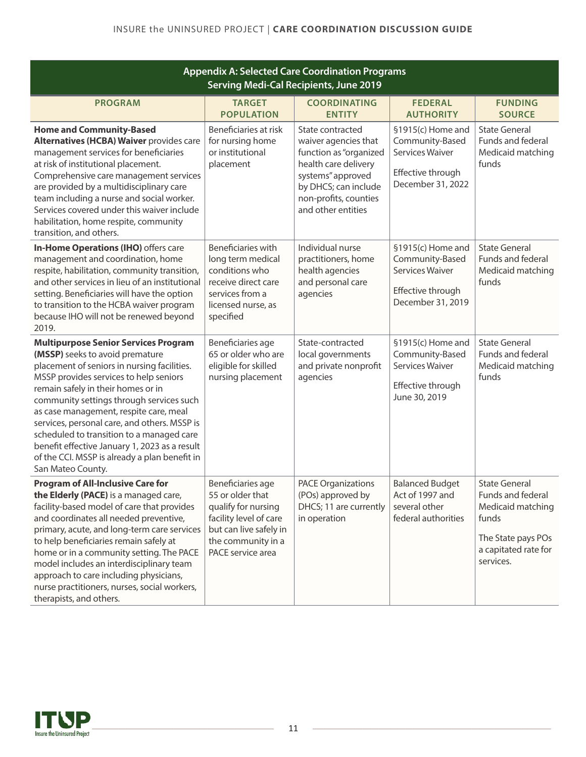| <b>Appendix A: Selected Care Coordination Programs</b><br><b>Serving Medi-Cal Recipients, June 2019</b>                                                                                                                                                                                                                                                                                                                                                                                                                 |                                                                                                                                                             |                                                                                                                                                                                        |                                                                                                          |                                                                                                                                    |
|-------------------------------------------------------------------------------------------------------------------------------------------------------------------------------------------------------------------------------------------------------------------------------------------------------------------------------------------------------------------------------------------------------------------------------------------------------------------------------------------------------------------------|-------------------------------------------------------------------------------------------------------------------------------------------------------------|----------------------------------------------------------------------------------------------------------------------------------------------------------------------------------------|----------------------------------------------------------------------------------------------------------|------------------------------------------------------------------------------------------------------------------------------------|
| <b>PROGRAM</b>                                                                                                                                                                                                                                                                                                                                                                                                                                                                                                          | <b>TARGET</b><br><b>POPULATION</b>                                                                                                                          | <b>COORDINATING</b><br><b>ENTITY</b>                                                                                                                                                   | <b>FEDERAL</b><br><b>AUTHORITY</b>                                                                       | <b>FUNDING</b><br><b>SOURCE</b>                                                                                                    |
| <b>Home and Community-Based</b><br>Alternatives (HCBA) Waiver provides care<br>management services for beneficiaries<br>at risk of institutional placement.<br>Comprehensive care management services<br>are provided by a multidisciplinary care<br>team including a nurse and social worker.<br>Services covered under this waiver include<br>habilitation, home respite, community<br>transition, and others.                                                                                                        | Beneficiaries at risk<br>for nursing home<br>or institutional<br>placement                                                                                  | State contracted<br>waiver agencies that<br>function as "organized<br>health care delivery<br>systems" approved<br>by DHCS; can include<br>non-profits, counties<br>and other entities | §1915(c) Home and<br>Community-Based<br>Services Waiver<br>Effective through<br>December 31, 2022        | <b>State General</b><br>Funds and federal<br>Medicaid matching<br>funds                                                            |
| In-Home Operations (IHO) offers care<br>management and coordination, home<br>respite, habilitation, community transition,<br>and other services in lieu of an institutional<br>setting. Beneficiaries will have the option<br>to transition to the HCBA waiver program<br>because IHO will not be renewed beyond<br>2019.                                                                                                                                                                                               | <b>Beneficiaries with</b><br>long term medical<br>conditions who<br>receive direct care<br>services from a<br>licensed nurse, as<br>specified               | Individual nurse<br>practitioners, home<br>health agencies<br>and personal care<br>agencies                                                                                            | §1915(c) Home and<br>Community-Based<br><b>Services Waiver</b><br>Effective through<br>December 31, 2019 | <b>State General</b><br>Funds and federal<br>Medicaid matching<br>funds                                                            |
| <b>Multipurpose Senior Services Program</b><br>(MSSP) seeks to avoid premature<br>placement of seniors in nursing facilities.<br>MSSP provides services to help seniors<br>remain safely in their homes or in<br>community settings through services such<br>as case management, respite care, meal<br>services, personal care, and others. MSSP is<br>scheduled to transition to a managed care<br>benefit effective January 1, 2023 as a result<br>of the CCI. MSSP is already a plan benefit in<br>San Mateo County. | Beneficiaries age<br>65 or older who are<br>eligible for skilled<br>nursing placement                                                                       | State-contracted<br>local governments<br>and private nonprofit<br>agencies                                                                                                             | §1915(c) Home and<br>Community-Based<br>Services Waiver<br>Effective through<br>June 30, 2019            | <b>State General</b><br>Funds and federal<br>Medicaid matching<br>funds                                                            |
| <b>Program of All-Inclusive Care for</b><br>the Elderly (PACE) is a managed care,<br>facility-based model of care that provides<br>and coordinates all needed preventive,<br>primary, acute, and long-term care services<br>to help beneficiaries remain safely at<br>home or in a community setting. The PACE<br>model includes an interdisciplinary team<br>approach to care including physicians,<br>nurse practitioners, nurses, social workers,<br>therapists, and others.                                         | Beneficiaries age<br>55 or older that<br>qualify for nursing<br>facility level of care<br>but can live safely in<br>the community in a<br>PACE service area | <b>PACE Organizations</b><br>(POs) approved by<br>DHCS; 11 are currently<br>in operation                                                                                               | <b>Balanced Budget</b><br>Act of 1997 and<br>several other<br>federal authorities                        | <b>State General</b><br>Funds and federal<br>Medicaid matching<br>funds<br>The State pays POs<br>a capitated rate for<br>services. |

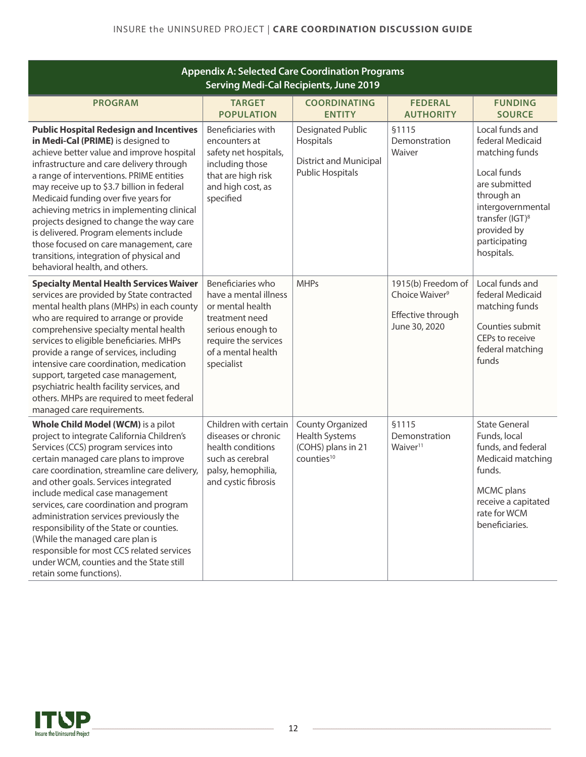| <b>Appendix A: Selected Care Coordination Programs</b><br><b>Serving Medi-Cal Recipients, June 2019</b>                                                                                                                                                                                                                                                                                                                                                                                                                                                                             |                                                                                                                                                                   |                                                                                                   |                                                                                        |                                                                                                                                                                                                       |  |
|-------------------------------------------------------------------------------------------------------------------------------------------------------------------------------------------------------------------------------------------------------------------------------------------------------------------------------------------------------------------------------------------------------------------------------------------------------------------------------------------------------------------------------------------------------------------------------------|-------------------------------------------------------------------------------------------------------------------------------------------------------------------|---------------------------------------------------------------------------------------------------|----------------------------------------------------------------------------------------|-------------------------------------------------------------------------------------------------------------------------------------------------------------------------------------------------------|--|
| <b>PROGRAM</b>                                                                                                                                                                                                                                                                                                                                                                                                                                                                                                                                                                      | <b>TARGET</b><br><b>POPULATION</b>                                                                                                                                | <b>COORDINATING</b><br><b>ENTITY</b>                                                              | <b>FEDERAL</b><br><b>AUTHORITY</b>                                                     | <b>FUNDING</b><br><b>SOURCE</b>                                                                                                                                                                       |  |
| <b>Public Hospital Redesign and Incentives</b><br>in Medi-Cal (PRIME) is designed to<br>achieve better value and improve hospital<br>infrastructure and care delivery through<br>a range of interventions. PRIME entities<br>may receive up to \$3.7 billion in federal<br>Medicaid funding over five years for<br>achieving metrics in implementing clinical<br>projects designed to change the way care<br>is delivered. Program elements include<br>those focused on care management, care<br>transitions, integration of physical and<br>behavioral health, and others.         | Beneficiaries with<br>encounters at<br>safety net hospitals,<br>including those<br>that are high risk<br>and high cost, as<br>specified                           | <b>Designated Public</b><br>Hospitals<br><b>District and Municipal</b><br><b>Public Hospitals</b> | §1115<br>Demonstration<br>Waiver                                                       | Local funds and<br>federal Medicaid<br>matching funds<br>Local funds<br>are submitted<br>through an<br>intergovernmental<br>transfer (IGT) <sup>8</sup><br>provided by<br>participating<br>hospitals. |  |
| <b>Specialty Mental Health Services Waiver</b><br>services are provided by State contracted<br>mental health plans (MHPs) in each county<br>who are required to arrange or provide<br>comprehensive specialty mental health<br>services to eligible beneficiaries. MHPs<br>provide a range of services, including<br>intensive care coordination, medication<br>support, targeted case management,<br>psychiatric health facility services, and<br>others. MHPs are required to meet federal<br>managed care requirements.                                                          | Beneficiaries who<br>have a mental illness<br>or mental health<br>treatment need<br>serious enough to<br>require the services<br>of a mental health<br>specialist | <b>MHPs</b>                                                                                       | 1915(b) Freedom of<br>Choice Waiver <sup>9</sup><br>Effective through<br>June 30, 2020 | Local funds and<br>federal Medicaid<br>matching funds<br>Counties submit<br>CEPs to receive<br>federal matching<br>funds                                                                              |  |
| Whole Child Model (WCM) is a pilot<br>project to integrate California Children's<br>Services (CCS) program services into<br>certain managed care plans to improve<br>care coordination, streamline care delivery,<br>and other goals. Services integrated<br>include medical case management<br>services, care coordination and program<br>administration services previously the<br>responsibility of the State or counties.<br>(While the managed care plan is<br>responsible for most CCS related services<br>under WCM, counties and the State still<br>retain some functions). | Children with certain<br>diseases or chronic<br>health conditions<br>such as cerebral<br>palsy, hemophilia,<br>and cystic fibrosis                                | County Organized<br><b>Health Systems</b><br>(COHS) plans in 21<br>counties <sup>10</sup>         | §1115<br>Demonstration<br>Waiver <sup>11</sup>                                         | <b>State General</b><br>Funds, local<br>funds, and federal<br>Medicaid matching<br>funds.<br>MCMC plans<br>receive a capitated<br>rate for WCM<br>beneficiaries.                                      |  |

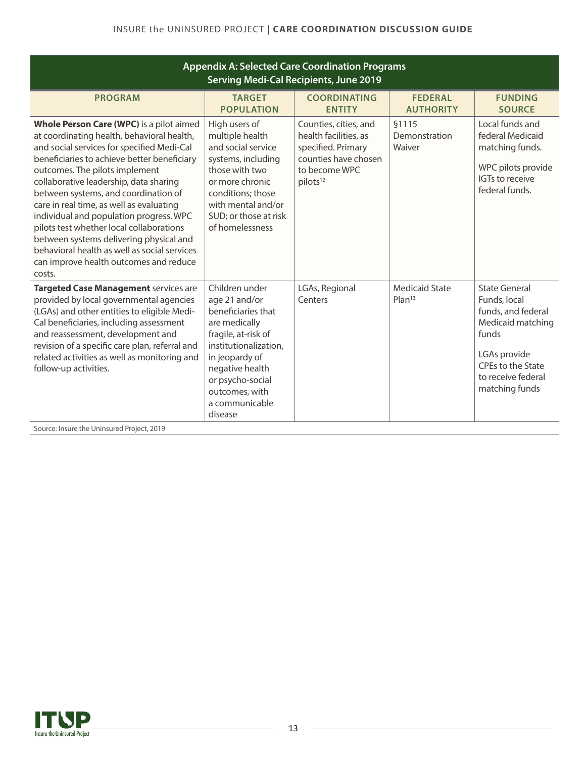| <b>Appendix A: Selected Care Coordination Programs</b><br><b>Serving Medi-Cal Recipients, June 2019</b>                                                                                                                                                                                                                                                                                                                                                                                                                                                                                   |                                                                                                                                                                                                                                |                                                                                                                                       |                                             |                                                                                                                                                                       |  |
|-------------------------------------------------------------------------------------------------------------------------------------------------------------------------------------------------------------------------------------------------------------------------------------------------------------------------------------------------------------------------------------------------------------------------------------------------------------------------------------------------------------------------------------------------------------------------------------------|--------------------------------------------------------------------------------------------------------------------------------------------------------------------------------------------------------------------------------|---------------------------------------------------------------------------------------------------------------------------------------|---------------------------------------------|-----------------------------------------------------------------------------------------------------------------------------------------------------------------------|--|
| <b>PROGRAM</b>                                                                                                                                                                                                                                                                                                                                                                                                                                                                                                                                                                            | <b>TARGET</b><br><b>POPULATION</b>                                                                                                                                                                                             | <b>COORDINATING</b><br><b>ENTITY</b>                                                                                                  | <b>FEDERAL</b><br><b>AUTHORITY</b>          | <b>FUNDING</b><br><b>SOURCE</b>                                                                                                                                       |  |
| Whole Person Care (WPC) is a pilot aimed<br>at coordinating health, behavioral health,<br>and social services for specified Medi-Cal<br>beneficiaries to achieve better beneficiary<br>outcomes. The pilots implement<br>collaborative leadership, data sharing<br>between systems, and coordination of<br>care in real time, as well as evaluating<br>individual and population progress. WPC<br>pilots test whether local collaborations<br>between systems delivering physical and<br>behavioral health as well as social services<br>can improve health outcomes and reduce<br>costs. | High users of<br>multiple health<br>and social service<br>systems, including<br>those with two<br>or more chronic<br>conditions; those<br>with mental and/or<br>SUD; or those at risk<br>of homelessness                       | Counties, cities, and<br>health facilities, as<br>specified. Primary<br>counties have chosen<br>to become WPC<br>pilots <sup>12</sup> | <b>§1115</b><br>Demonstration<br>Waiver     | Local funds and<br>federal Medicaid<br>matching funds.<br>WPC pilots provide<br>IGTs to receive<br>federal funds.                                                     |  |
| <b>Targeted Case Management services are</b><br>provided by local governmental agencies<br>(LGAs) and other entities to eligible Medi-<br>Cal beneficiaries, including assessment<br>and reassessment, development and<br>revision of a specific care plan, referral and<br>related activities as well as monitoring and<br>follow-up activities.<br>Source: Insure the Uninsured Project, 2019                                                                                                                                                                                           | Children under<br>age 21 and/or<br>beneficiaries that<br>are medically<br>fragile, at-risk of<br>institutionalization,<br>in jeopardy of<br>negative health<br>or psycho-social<br>outcomes, with<br>a communicable<br>disease | LGAs, Regional<br>Centers                                                                                                             | <b>Medicaid State</b><br>Plan <sup>13</sup> | <b>State General</b><br>Funds, local<br>funds, and federal<br>Medicaid matching<br>funds<br>LGAs provide<br>CPEs to the State<br>to receive federal<br>matching funds |  |



 $\sim$